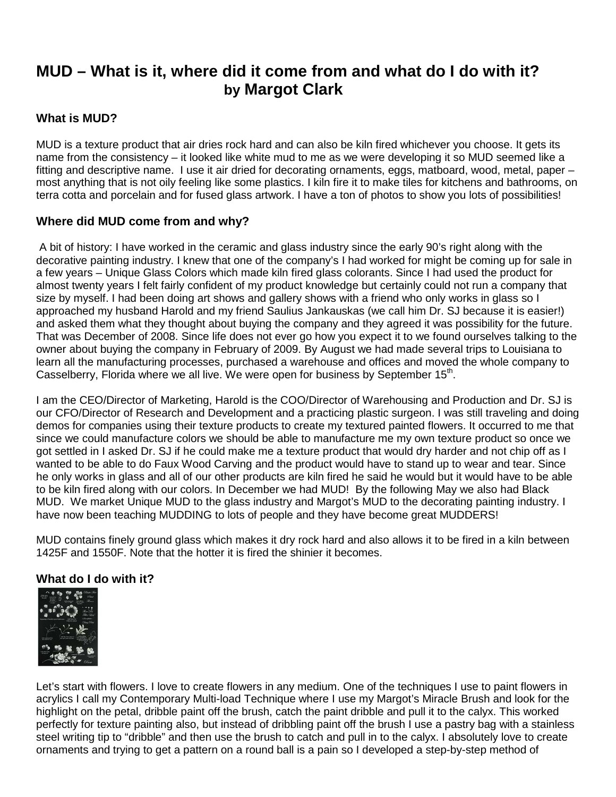# **MUD – What is it, where did it come from and what do I do with it? by Margot Clark**

## **What is MUD?**

MUD is a texture product that air dries rock hard and can also be kiln fired whichever you choose. It gets its name from the consistency – it looked like white mud to me as we were developing it so MUD seemed like a fitting and descriptive name. I use it air dried for decorating ornaments, eggs, matboard, wood, metal, paper – most anything that is not oily feeling like some plastics. I kiln fire it to make tiles for kitchens and bathrooms, on terra cotta and porcelain and for fused glass artwork. I have a ton of photos to show you lots of possibilities!

### **Where did MUD come from and why?**

A bit of history: I have worked in the ceramic and glass industry since the early 90's right along with the decorative painting industry. I knew that one of the company's I had worked for might be coming up for sale in a few years – Unique Glass Colors which made kiln fired glass colorants. Since I had used the product for almost twenty years I felt fairly confident of my product knowledge but certainly could not run a company that size by myself. I had been doing art shows and gallery shows with a friend who only works in glass so I approached my husband Harold and my friend Saulius Jankauskas (we call him Dr. SJ because it is easier!) and asked them what they thought about buying the company and they agreed it was possibility for the future. That was December of 2008. Since life does not ever go how you expect it to we found ourselves talking to the owner about buying the company in February of 2009. By August we had made several trips to Louisiana to learn all the manufacturing processes, purchased a warehouse and offices and moved the whole company to Casselberry, Florida where we all live. We were open for business by September  $15<sup>th</sup>$ .

I am the CEO/Director of Marketing, Harold is the COO/Director of Warehousing and Production and Dr. SJ is our CFO/Director of Research and Development and a practicing plastic surgeon. I was still traveling and doing demos for companies using their texture products to create my textured painted flowers. It occurred to me that since we could manufacture colors we should be able to manufacture me my own texture product so once we got settled in I asked Dr. SJ if he could make me a texture product that would dry harder and not chip off as I wanted to be able to do Faux Wood Carving and the product would have to stand up to wear and tear. Since he only works in glass and all of our other products are kiln fired he said he would but it would have to be able to be kiln fired along with our colors. In December we had MUD! By the following May we also had Black MUD. We market Unique MUD to the glass industry and Margot's MUD to the decorating painting industry. I have now been teaching MUDDING to lots of people and they have become great MUDDERS!

MUD contains finely ground glass which makes it dry rock hard and also allows it to be fired in a kiln between 1425F and 1550F. Note that the hotter it is fired the shinier it becomes.

### **What do I do with it?**



Let's start with flowers. I love to create flowers in any medium. One of the techniques I use to paint flowers in acrylics I call my Contemporary Multi-load Technique where I use my Margot's Miracle Brush and look for the highlight on the petal, dribble paint off the brush, catch the paint dribble and pull it to the calyx. This worked perfectly for texture painting also, but instead of dribbling paint off the brush I use a pastry bag with a stainless steel writing tip to "dribble" and then use the brush to catch and pull in to the calyx. I absolutely love to create ornaments and trying to get a pattern on a round ball is a pain so I developed a step-by-step method of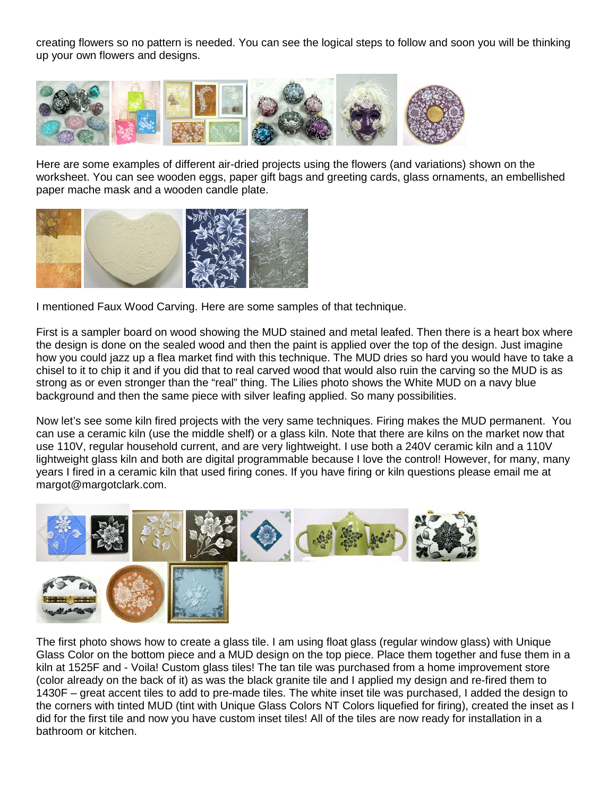creating flowers so no pattern is needed. You can see the logical steps to follow and soon you will be thinking up your own flowers and designs.



Here are some examples of different air-dried projects using the flowers (and variations) shown on the worksheet. You can see wooden eggs, paper gift bags and greeting cards, glass ornaments, an embellished paper mache mask and a wooden candle plate.



I mentioned Faux Wood Carving. Here are some samples of that technique.

First is a sampler board on wood showing the MUD stained and metal leafed. Then there is a heart box where the design is done on the sealed wood and then the paint is applied over the top of the design. Just imagine how you could jazz up a flea market find with this technique. The MUD dries so hard you would have to take a chisel to it to chip it and if you did that to real carved wood that would also ruin the carving so the MUD is as strong as or even stronger than the "real" thing. The Lilies photo shows the White MUD on a navy blue background and then the same piece with silver leafing applied. So many possibilities.

Now let's see some kiln fired projects with the very same techniques. Firing makes the MUD permanent. You can use a ceramic kiln (use the middle shelf) or a glass kiln. Note that there are kilns on the market now that use 110V, regular household current, and are very lightweight. I use both a 240V ceramic kiln and a 110V lightweight glass kiln and both are digital programmable because I love the control! However, for many, many years I fired in a ceramic kiln that used firing cones. If you have firing or kiln questions please email me at margot@margotclark.com.



The first photo shows how to create a glass tile. I am using float glass (regular window glass) with Unique Glass Color on the bottom piece and a MUD design on the top piece. Place them together and fuse them in a kiln at 1525F and - Voila! Custom glass tiles! The tan tile was purchased from a home improvement store (color already on the back of it) as was the black granite tile and I applied my design and re-fired them to 1430F – great accent tiles to add to pre-made tiles. The white inset tile was purchased, I added the design to the corners with tinted MUD (tint with Unique Glass Colors NT Colors liquefied for firing), created the inset as I did for the first tile and now you have custom inset tiles! All of the tiles are now ready for installation in a bathroom or kitchen.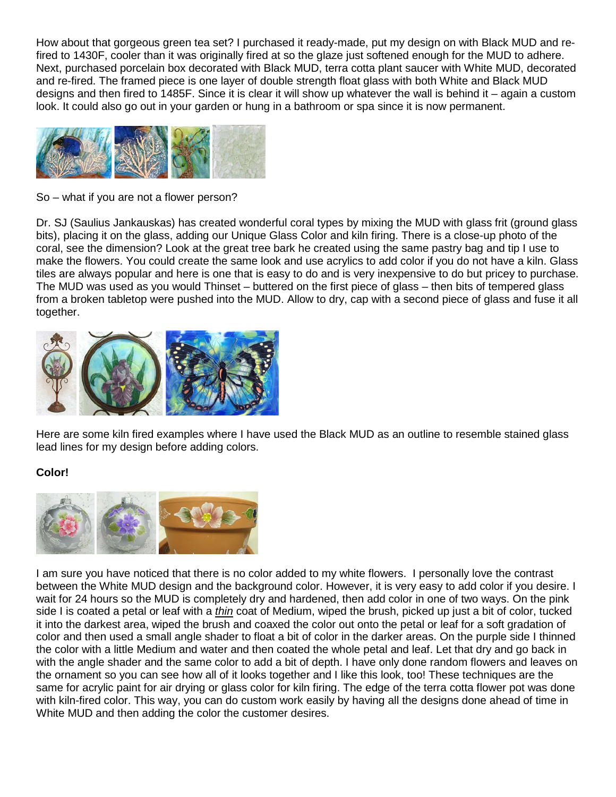How about that gorgeous green tea set? I purchased it ready-made, put my design on with Black MUD and refired to 1430F, cooler than it was originally fired at so the glaze just softened enough for the MUD to adhere. Next, purchased porcelain box decorated with Black MUD, terra cotta plant saucer with White MUD, decorated and re-fired. The framed piece is one layer of double strength float glass with both White and Black MUD designs and then fired to 1485F. Since it is clear it will show up whatever the wall is behind it – again a custom look. It could also go out in your garden or hung in a bathroom or spa since it is now permanent.



So – what if you are not a flower person?

Dr. SJ (Saulius Jankauskas) has created wonderful coral types by mixing the MUD with glass frit (ground glass bits), placing it on the glass, adding our Unique Glass Color and kiln firing. There is a close-up photo of the coral, see the dimension? Look at the great tree bark he created using the same pastry bag and tip I use to make the flowers. You could create the same look and use acrylics to add color if you do not have a kiln. Glass tiles are always popular and here is one that is easy to do and is very inexpensive to do but pricey to purchase. The MUD was used as you would Thinset – buttered on the first piece of glass – then bits of tempered glass from a broken tabletop were pushed into the MUD. Allow to dry, cap with a second piece of glass and fuse it all together.



Here are some kiln fired examples where I have used the Black MUD as an outline to resemble stained glass lead lines for my design before adding colors.

### **Color!**



I am sure you have noticed that there is no color added to my white flowers. I personally love the contrast between the White MUD design and the background color. However, it is very easy to add color if you desire. I wait for 24 hours so the MUD is completely dry and hardened, then add color in one of two ways. On the pink side I is coated a petal or leaf with a *thin* coat of Medium, wiped the brush, picked up just a bit of color, tucked it into the darkest area, wiped the brush and coaxed the color out onto the petal or leaf for a soft gradation of color and then used a small angle shader to float a bit of color in the darker areas. On the purple side I thinned the color with a little Medium and water and then coated the whole petal and leaf. Let that dry and go back in with the angle shader and the same color to add a bit of depth. I have only done random flowers and leaves on the ornament so you can see how all of it looks together and I like this look, too! These techniques are the same for acrylic paint for air drying or glass color for kiln firing. The edge of the terra cotta flower pot was done with kiln-fired color. This way, you can do custom work easily by having all the designs done ahead of time in White MUD and then adding the color the customer desires.